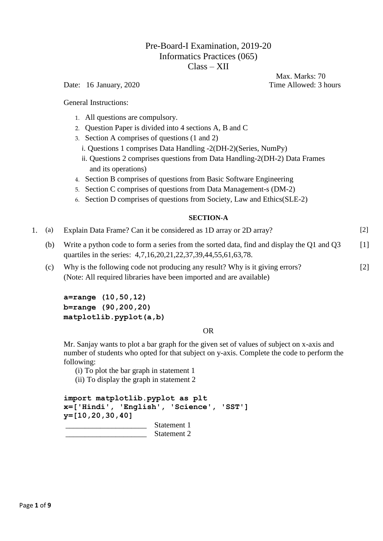# Pre-Board-I Examination, 2019-20 Informatics Practices (065) Class – XII

Date: 16 January, 2020 Time Allowed: 3 hours

Max. Marks: 70

General Instructions:

- 1. All questions are compulsory.
- 2. Question Paper is divided into 4 sections A, B and C
- 3. Section A comprises of questions (1 and 2)
	- i. Questions 1 comprises Data Handling -2(DH-2)(Series, NumPy)
	- ii. Questions 2 comprises questions from Data Handling-2(DH-2) Data Frames and its operations)
- 4. Section B comprises of questions from Basic Software Engineering
- 5. Section C comprises of questions from Data Management-s (DM-2)
- 6. Section D comprises of questions from Society, Law and Ethics(SLE-2)

## **SECTION-A**

|  |  | 1. (a) Explain Data Frame? Can it be considered as 1D array or 2D array? | $[2]$ |
|--|--|--------------------------------------------------------------------------|-------|
|--|--|--------------------------------------------------------------------------|-------|

- (b) Write a python code to form a series from the sorted data, find and display the Q1 and Q3 quartiles in the series: 4,7,16,20,21,22,37,39,44,55,61,63,78. [1]
- (c) Why is the following code not producing any result? Why is it giving errors? (Note: All required libraries have been imported and are available) [2]

**a=range (10,50,12) b=range (90,200,20) matplotlib.pyplot(a,b)**

## OR

Mr. Sanjay wants to plot a bar graph for the given set of values of subject on x-axis and number of students who opted for that subject on y-axis. Complete the code to perform the following:

(i) To plot the bar graph in statement 1

(ii) To display the graph in statement 2

**import matplotlib.pyplot as plt x=['Hindi', 'English', 'Science', 'SST'] y=[10,20,30,40]** Statement 1 Statement 2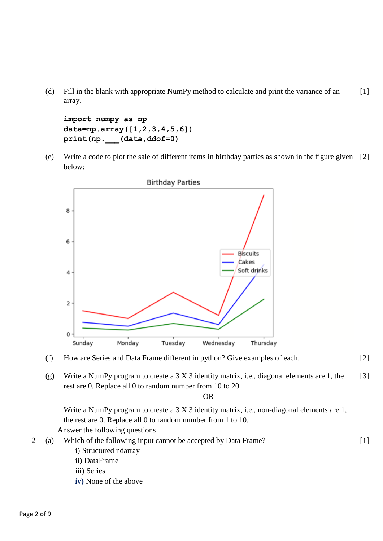(d) Fill in the blank with appropriate NumPy method to calculate and print the variance of an array. [1]

**import numpy as np data=np.array([1,2,3,4,5,6]) print(np.\_\_\_(data,ddof=0)** 

(e) Write a code to plot the sale of different items in birthday parties as shown in the figure given [2] below:





(g) Write a NumPy program to create a 3 X 3 identity matrix, i.e., diagonal elements are 1, the rest are 0. Replace all 0 to random number from 10 to 20. [3]

OR

Write a NumPy program to create a 3 X 3 identity matrix, i.e., non-diagonal elements are 1, the rest are 0. Replace all 0 to random number from 1 to 10. Answer the following questions

2 (a) Which of the following input cannot be accepted by Data Frame? i) Structured ndarray [1]

- ii) DataFrame
- iii) Series
- **iv)** None of the above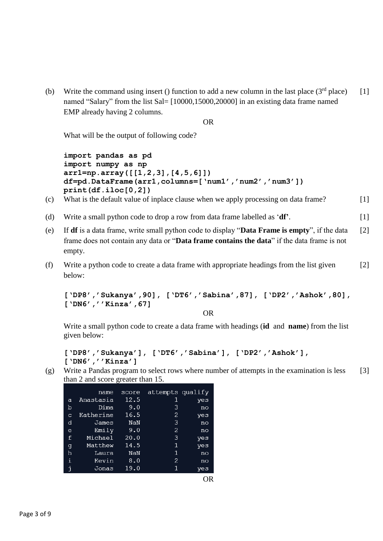(b) Write the command using insert () function to add a new column in the last place  $(3<sup>rd</sup>$  place) named "Salary" from the list Sal= [10000,15000,20000] in an existing data frame named EMP already having 2 columns.  $[1]$ 

OR

What will be the output of following code?

```
import pandas as pd
import numpy as np
arr1=np.array([[1,2,3],[4,5,6]])
df=pd.DataFrame(arr1,columns=['num1','num2','num3'])
print(df.iloc[0,2])
```
- (c) What is the default value of inplace clause when we apply processing on data frame? [1]
- (d) Write a small python code to drop a row from data frame labelled as '**df'**. [1]
- (e) If **df** is a data frame, write small python code to display "**Data Frame is empty**", if the data frame does not contain any data or "**Data frame contains the data**" if the data frame is not empty. [2]
- (f) Write a python code to create a data frame with appropriate headings from the list given below: [2]

```
['DP8','Sukanya',90], ['DT6','Sabina',87], ['DP2','Ashok',80], 
['DN6',''Kinza',67]
```
OR

Write a small python code to create a data frame with headings (**id** and **name**) from the list given below:

```
['DP8','Sukanya'], ['DT6','Sabina'], ['DP2','Ashok'], 
['DN6',''Kinza']
```
(g) Write a Pandas program to select rows where number of attempts in the examination is less than 2 and score greater than 15. [3]

|   | name      | score | attempts qualify |     |
|---|-----------|-------|------------------|-----|
| a | Anastasia | 12.5  | 1                | yes |
| b | Dima      | 9.0   | 3                | no  |
| C | Katherine | 16.5  | 2                | yes |
| d | James     | NaN   | 3                | no  |
| e | Emily     | 9.0   | 2                | no  |
| f | Michael   | 20.0  | 3                | yes |
| g | Matthew   | 14.5  | 1                | yes |
| h | Laura     | NaN   | 1                | no  |
| i | Kevin     | 8.0   | 2                | no  |
| İ | Jonas     | 19.0  | 1                | ves |

OR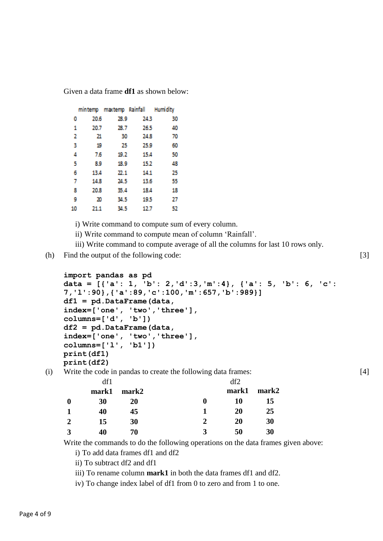Given a data frame **df1** as shown below:

|    |      |      | mintemp maxtemp Rainfall Humidity |    |
|----|------|------|-----------------------------------|----|
| 0  | 20.6 | 28.9 | 24.3                              | 30 |
| 1  | 20.7 | 28.7 | 26.5                              | 40 |
| 2  | 21   | 30   | 24.8                              | 70 |
| 3  | 19   | 25   | 25.9                              | 60 |
| 4  | 7.6  | 19.2 | 15.4                              | 50 |
| 5  | 8.9  | 18.9 | 15.2                              | 48 |
| 6  | 13.4 | 22.1 | 14.1                              | 25 |
| 7  | 14.8 | 24.5 | 13.6                              | 55 |
| 8  | 20.8 | 35.4 | 18.4                              | 18 |
| 9  | 20   | 34.5 | 19.5                              | 27 |
| 10 | 21.1 | 34.5 | 12.7                              | 52 |

i) Write command to compute sum of every column.

ii) Write command to compute mean of column 'Rainfall'.

iii) Write command to compute average of all the columns for last 10 rows only.

(h) Find the output of the following code:

```
import pandas as pd 
data = [{'a': 1, 'b': 2,'d':3,'m':4}, {'a': 5, 'b': 6, 'c': 
7,'l':90},{'a':89,'c':100,'m':657,'b':989}] 
df1 = pd.DataFrame(data,
index=['one', 'two','three'],
columns=['d', 'b'])
df2 = pd.DataFrame(data,
index=['one', 'two','three'],
columns=['l', 'b1']) 
print(df1) 
print(df2)
```
(i) Write the code in pandas to create the following data frames:

|                  | df1   |       |                             | df2   |       |
|------------------|-------|-------|-----------------------------|-------|-------|
|                  | mark1 | mark2 |                             | mark1 | mark2 |
| $\boldsymbol{0}$ | 30    | 20    | 0                           | 10    | 15    |
|                  | 40    | 45    |                             | 20    | 25    |
| 2                | 15    | 30    | $\mathcal{D}_{\mathcal{A}}$ | 20    | 30    |
| $\mathbf{a}$     | 40    | 70    | 3                           | 50    | 30    |

Write the commands to do the following operations on the data frames given above:

i) To add data frames df1 and df2

ii) To subtract df2 and df1

iii) To rename column **mark1** in both the data frames df1 and df2.

iv) To change index label of df1 from 0 to zero and from 1 to one.

[4]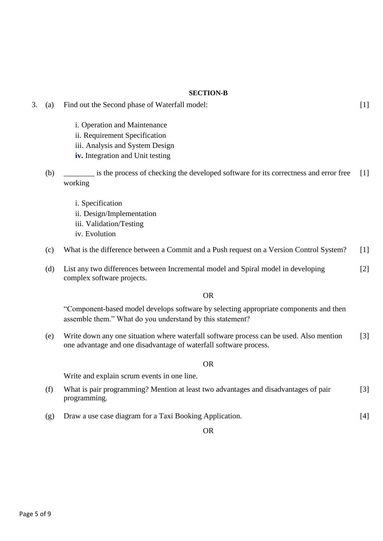# **SECTION-B**

| 3. | (a) | Find out the Second phase of Waterfall model:                                                                                                                | $[1]$ |
|----|-----|--------------------------------------------------------------------------------------------------------------------------------------------------------------|-------|
|    |     | i. Operation and Maintenance<br>ii. Requirement Specification<br>iii. Analysis and System Design<br>iv. Integration and Unit testing                         |       |
|    | (b) | is the process of checking the developed software for its correctness and error free<br>working                                                              | $[1]$ |
|    |     | i. Specification<br>ii. Design/Implementation<br>iii. Validation/Testing<br>iv. Evolution                                                                    |       |
|    | (c) | What is the difference between a Commit and a Push request on a Version Control System?                                                                      | $[1]$ |
|    | (d) | List any two differences between Incremental model and Spiral model in developing<br>complex software projects.                                              | $[2]$ |
|    |     | <b>OR</b>                                                                                                                                                    |       |
|    |     | "Component-based model develops software by selecting appropriate components and then<br>assemble them." What do you understand by this statement?           |       |
|    | (e) | Write down any one situation where waterfall software process can be used. Also mention<br>one advantage and one disadvantage of waterfall software process. | $[3]$ |
|    |     | <b>OR</b>                                                                                                                                                    |       |
|    |     | Write and explain scrum events in one line.                                                                                                                  |       |
|    | (f) | What is pair programming? Mention at least two advantages and disadvantages of pair<br>programming.                                                          | $[3]$ |
|    | (g) | Draw a use case diagram for a Taxi Booking Application.                                                                                                      | $[4]$ |
|    |     | <b>OR</b>                                                                                                                                                    |       |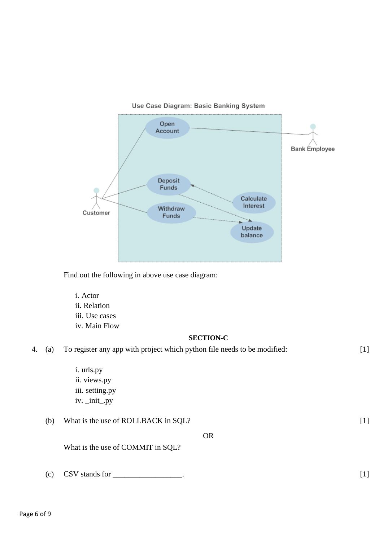



Find out the following in above use case diagram:

i. Actor ii. Relation iii. Use cases iv. Main Flow

## **SECTION-C**

| 4. | (a) | To register any app with project which python file needs to be modified: |           | $[1]$ |
|----|-----|--------------------------------------------------------------------------|-----------|-------|
|    |     | i. urls.py<br>ii. views.py<br>iii. setting.py<br>$iv.$ _init_.py         |           |       |
|    | (b) | What is the use of ROLLBACK in SQL?                                      |           | $[1]$ |
|    |     | What is the use of COMMIT in SQL?                                        | <b>OR</b> |       |
|    | (c) | $\text{CSV}$ stands for                                                  |           | $[1]$ |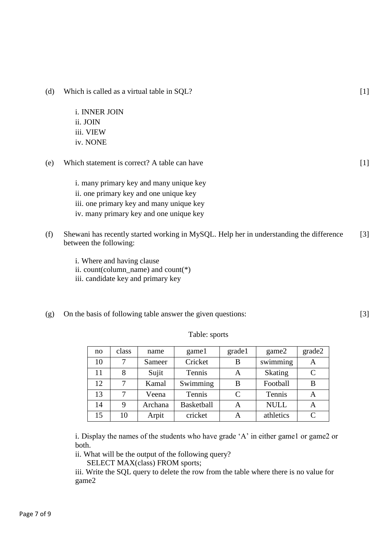- (d) Which is called as a virtual table in SQL?
	- i. INNER JOIN ii. JOIN iii. VIEW iv. NONE
- (e) Which statement is correct? A table can have
	- i. many primary key and many unique key
	- ii. one primary key and one unique key
	- iii. one primary key and many unique key
	- iv. many primary key and one unique key
- (f) Shewani has recently started working in MySQL. Help her in understanding the difference between the following: [3]
	- i. Where and having clause
	- ii. count(column\_name) and count(\*)
	- iii. candidate key and primary key
- (g) On the basis of following table answer the given questions:

Table: sports

i. Display the names of the students who have grade 'A' in either game1 or game2 or both.

ii. What will be the output of the following query?

SELECT MAX(class) FROM sports;

iii. Write the SQL query to delete the row from the table where there is no value for game2

| no | class | name    | game1             | grade1 | game2       | grade2 |
|----|-------|---------|-------------------|--------|-------------|--------|
| 10 |       | Sameer  | Cricket           | B      | swimming    | A      |
| 11 | 8     | Sujit   | Tennis            | A      | Skating     | C      |
| 12 | 7     | Kamal   | Swimming          | B      | Football    | B      |
| 13 |       | Veena   | Tennis            | C      | Tennis      | A      |
| 14 | 9     | Archana | <b>Basketball</b> | A      | <b>NULL</b> | А      |
| 15 | 10    | Arpit   | cricket           | A      | athletics   |        |

 $[1]$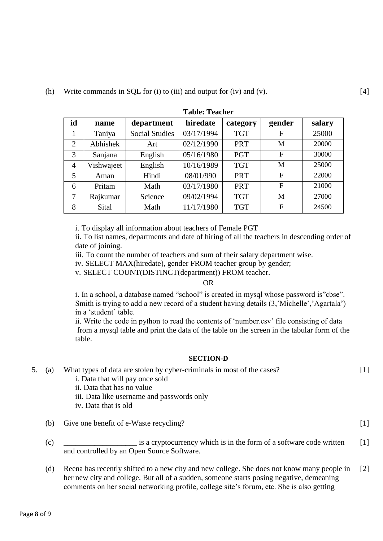| <b>Table: Teacher</b> |            |                       |            |            |              |        |
|-----------------------|------------|-----------------------|------------|------------|--------------|--------|
| id                    | name       | department            | hiredate   | category   | gender       | salary |
| 1                     | Taniya     | <b>Social Studies</b> | 03/17/1994 | <b>TGT</b> | F            | 25000  |
| 2                     | Abhishek   | Art                   | 02/12/1990 | <b>PRT</b> | M            | 20000  |
| 3                     | Sanjana    | English               | 05/16/1980 | <b>PGT</b> | F            | 30000  |
| $\overline{4}$        | Vishwajeet | English               | 10/16/1989 | <b>TGT</b> | M            | 25000  |
| 5                     | Aman       | Hindi                 | 08/01/990  | <b>PRT</b> | $\mathbf{F}$ | 22000  |
| 6                     | Pritam     | Math                  | 03/17/1980 | <b>PRT</b> | $\mathbf F$  | 21000  |
| 7                     | Rajkumar   | Science               | 09/02/1994 | <b>TGT</b> | M            | 27000  |
| 8                     | Sital      | Math                  | 11/17/1980 | <b>TGT</b> | F            | 24500  |

i. To display all information about teachers of Female PGT

ii. To list names, departments and date of hiring of all the teachers in descending order of date of joining.

iii. To count the number of teachers and sum of their salary department wise.

iv. SELECT MAX(hiredate), gender FROM teacher group by gender;

v. SELECT COUNT(DISTINCT(department)) FROM teacher.

and controlled by an Open Source Software.

#### OR

i. In a school, a database named "school" is created in mysql whose password is"cbse". Smith is trying to add a new record of a student having details (3,'Michelle','Agartala') in a 'student' table.

ii. Write the code in python to read the contents of 'number.csv' file consisting of data from a mysql table and print the data of the table on the screen in the tabular form of the table.

#### **SECTION-D**

| 5. | (a) | What types of data are stolen by cyber-criminals in most of the cases? |  |
|----|-----|------------------------------------------------------------------------|--|
|    |     | i. Data that will pay once sold                                        |  |
|    |     | ii. Data that has no value                                             |  |
|    |     | iii. Data like username and passwords only                             |  |
|    |     | iv. Data that is old                                                   |  |
|    | (b) | Give one benefit of e-Waste recycling?                                 |  |
|    | (c) | is a cryptocurrency which is in the form of a software code written    |  |

(d) Reena has recently shifted to a new city and new college. She does not know many people in her new city and college. But all of a sudden, someone starts posing negative, demeaning comments on her social networking profile, college site's forum, etc. She is also getting [2]